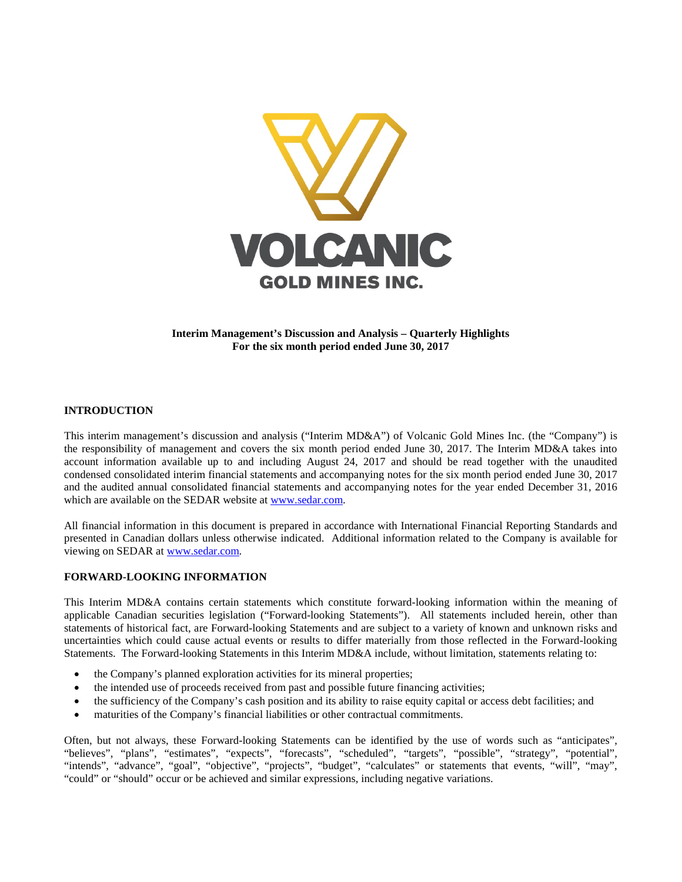

**Interim Management's Discussion and Analysis – Quarterly Highlights For the six month period ended June 30, 2017**

## **INTRODUCTION**

This interim management's discussion and analysis ("Interim MD&A") of Volcanic Gold Mines Inc. (the "Company") is the responsibility of management and covers the six month period ended June 30, 2017. The Interim MD&A takes into account information available up to and including August 24, 2017 and should be read together with the unaudited condensed consolidated interim financial statements and accompanying notes for the six month period ended June 30, 2017 and the audited annual consolidated financial statements and accompanying notes for the year ended December 31, 2016 which are available on the SEDAR website at [www.sedar.com.](http://www.sedar.com/)

All financial information in this document is prepared in accordance with International Financial Reporting Standards and presented in Canadian dollars unless otherwise indicated. Additional information related to the Company is available for viewing on SEDAR at [www.sedar.com.](http://www.sedar.com/)

#### **FORWARD-LOOKING INFORMATION**

This Interim MD&A contains certain statements which constitute forward-looking information within the meaning of applicable Canadian securities legislation ("Forward-looking Statements"). All statements included herein, other than statements of historical fact, are Forward-looking Statements and are subject to a variety of known and unknown risks and uncertainties which could cause actual events or results to differ materially from those reflected in the Forward-looking Statements. The Forward-looking Statements in this Interim MD&A include, without limitation, statements relating to:

- the Company's planned exploration activities for its mineral properties;
- the intended use of proceeds received from past and possible future financing activities;
- the sufficiency of the Company's cash position and its ability to raise equity capital or access debt facilities; and
- maturities of the Company's financial liabilities or other contractual commitments.

Often, but not always, these Forward-looking Statements can be identified by the use of words such as "anticipates", "believes", "plans", "estimates", "expects", "forecasts", "scheduled", "targets", "possible", "strategy", "potential", "intends", "advance", "goal", "objective", "projects", "budget", "calculates" or statements that events, "will", "may", "could" or "should" occur or be achieved and similar expressions, including negative variations.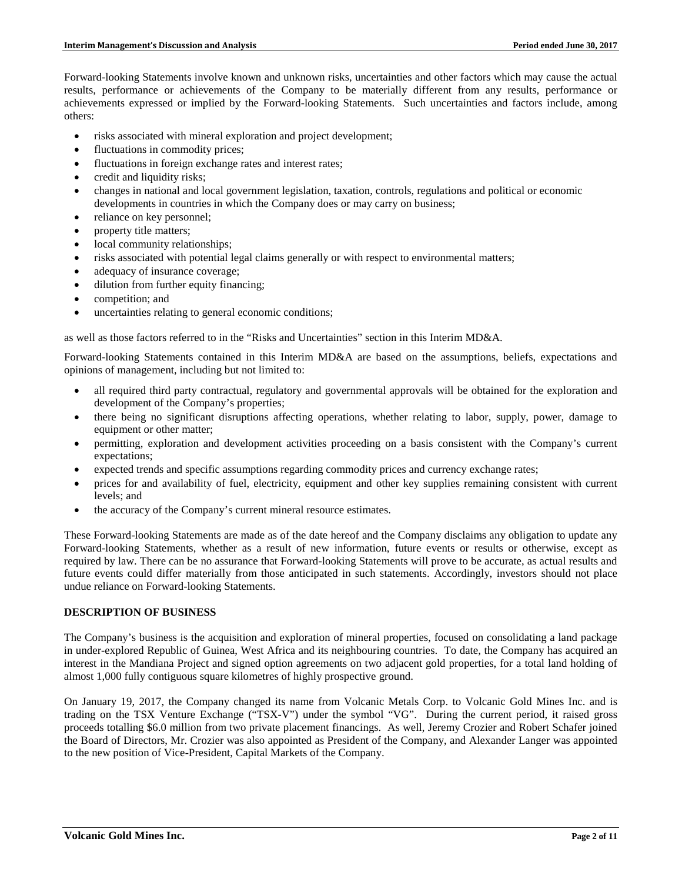Forward-looking Statements involve known and unknown risks, uncertainties and other factors which may cause the actual results, performance or achievements of the Company to be materially different from any results, performance or achievements expressed or implied by the Forward-looking Statements. Such uncertainties and factors include, among others:

- risks associated with mineral exploration and project development;
- fluctuations in commodity prices;
- fluctuations in foreign exchange rates and interest rates;
- credit and liquidity risks;
- changes in national and local government legislation, taxation, controls, regulations and political or economic developments in countries in which the Company does or may carry on business;
- reliance on key personnel;
- property title matters;
- local community relationships;
- risks associated with potential legal claims generally or with respect to environmental matters;
- adequacy of insurance coverage;
- dilution from further equity financing;
- competition; and
- uncertainties relating to general economic conditions;

as well as those factors referred to in the "Risks and Uncertainties" section in this Interim MD&A.

Forward-looking Statements contained in this Interim MD&A are based on the assumptions, beliefs, expectations and opinions of management, including but not limited to:

- all required third party contractual, regulatory and governmental approvals will be obtained for the exploration and development of the Company's properties;
- there being no significant disruptions affecting operations, whether relating to labor, supply, power, damage to equipment or other matter;
- permitting, exploration and development activities proceeding on a basis consistent with the Company's current expectations;
- expected trends and specific assumptions regarding commodity prices and currency exchange rates;
- prices for and availability of fuel, electricity, equipment and other key supplies remaining consistent with current levels; and
- the accuracy of the Company's current mineral resource estimates.

These Forward-looking Statements are made as of the date hereof and the Company disclaims any obligation to update any Forward-looking Statements, whether as a result of new information, future events or results or otherwise, except as required by law. There can be no assurance that Forward-looking Statements will prove to be accurate, as actual results and future events could differ materially from those anticipated in such statements. Accordingly, investors should not place undue reliance on Forward-looking Statements.

## **DESCRIPTION OF BUSINESS**

The Company's business is the acquisition and exploration of mineral properties, focused on consolidating a land package in under-explored Republic of Guinea, West Africa and its neighbouring countries. To date, the Company has acquired an interest in the Mandiana Project and signed option agreements on two adjacent gold properties, for a total land holding of almost 1,000 fully contiguous square kilometres of highly prospective ground.

On January 19, 2017, the Company changed its name from Volcanic Metals Corp. to Volcanic Gold Mines Inc. and is trading on the TSX Venture Exchange ("TSX-V") under the symbol "VG". During the current period, it raised gross proceeds totalling \$6.0 million from two private placement financings. As well, Jeremy Crozier and Robert Schafer joined the Board of Directors, Mr. Crozier was also appointed as President of the Company, and Alexander Langer was appointed to the new position of Vice-President, Capital Markets of the Company.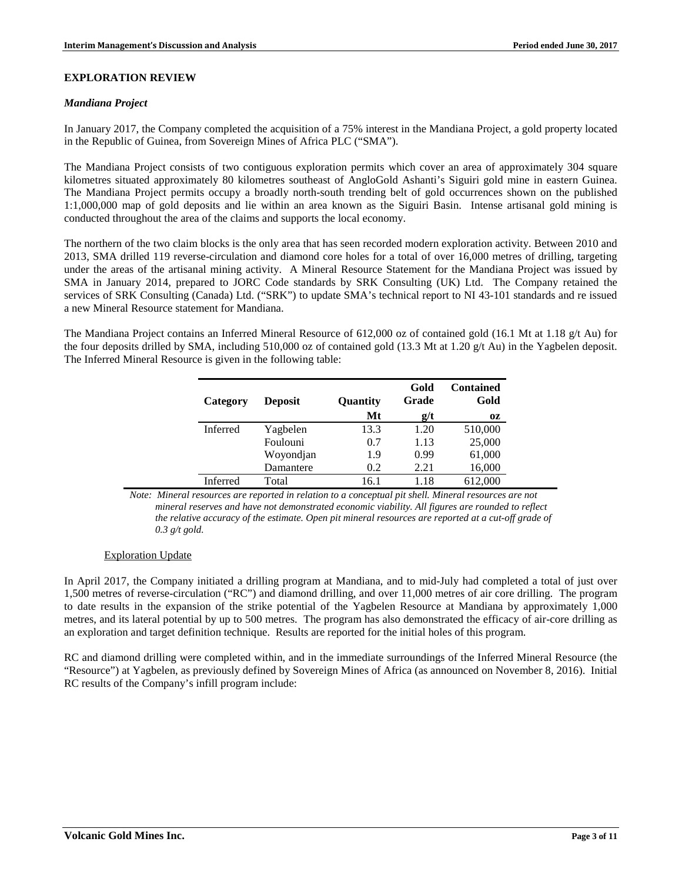### **EXPLORATION REVIEW**

#### *Mandiana Project*

In January 2017, the Company completed the acquisition of a 75% interest in the Mandiana Project, a gold property located in the Republic of Guinea, from Sovereign Mines of Africa PLC ("SMA").

The Mandiana Project consists of two contiguous exploration permits which cover an area of approximately 304 square kilometres situated approximately 80 kilometres southeast of AngloGold Ashanti's Siguiri gold mine in eastern Guinea. The Mandiana Project permits occupy a broadly north-south trending belt of gold occurrences shown on the published 1:1,000,000 map of gold deposits and lie within an area known as the Siguiri Basin. Intense artisanal gold mining is conducted throughout the area of the claims and supports the local economy.

The northern of the two claim blocks is the only area that has seen recorded modern exploration activity. Between 2010 and 2013, SMA drilled 119 reverse-circulation and diamond core holes for a total of over 16,000 metres of drilling, targeting under the areas of the artisanal mining activity. A Mineral Resource Statement for the Mandiana Project was issued by SMA in January 2014, prepared to JORC Code standards by SRK Consulting (UK) Ltd. The Company retained the services of SRK Consulting (Canada) Ltd. ("SRK") to update SMA's technical report to NI 43-101 standards and re issued a new Mineral Resource statement for Mandiana.

The Mandiana Project contains an Inferred Mineral Resource of 612,000 oz of contained gold (16.1 Mt at 1.18 g/t Au) for the four deposits drilled by SMA, including 510,000 oz of contained gold (13.3 Mt at 1.20 g/t Au) in the Yagbelen deposit. The Inferred Mineral Resource is given in the following table:

| Category        | <b>Deposit</b> | Quantity | Gold<br>Grade | <b>Contained</b><br>Gold |
|-----------------|----------------|----------|---------------|--------------------------|
|                 |                | Mt       | g/t           | OZ.                      |
| <b>Inferred</b> | Yagbelen       | 13.3     | 1.20          | 510,000                  |
|                 | Foulouni       | 0.7      | 1.13          | 25,000                   |
|                 | Woyondjan      | 1.9      | 0.99          | 61,000                   |
|                 | Damantere      | 0.2      | 2.21          | 16,000                   |
| Inferred        | Total          | 16.1     | 118           | 612,000                  |

*Note: Mineral resources are reported in relation to a conceptual pit shell. Mineral resources are not mineral reserves and have not demonstrated economic viability. All figures are rounded to reflect the relative accuracy of the estimate. Open pit mineral resources are reported at a cut-off grade of 0.3 g/t gold.* 

## Exploration Update

In April 2017, the Company initiated a drilling program at Mandiana, and to mid-July had completed a total of just over 1,500 metres of reverse-circulation ("RC") and diamond drilling, and over 11,000 metres of air core drilling. The program to date results in the expansion of the strike potential of the Yagbelen Resource at Mandiana by approximately 1,000 metres, and its lateral potential by up to 500 metres. The program has also demonstrated the efficacy of air-core drilling as an exploration and target definition technique. Results are reported for the initial holes of this program.

RC and diamond drilling were completed within, and in the immediate surroundings of the Inferred Mineral Resource (the "Resource") at Yagbelen, as previously defined by Sovereign Mines of Africa (as announced on November 8, 2016). Initial RC results of the Company's infill program include: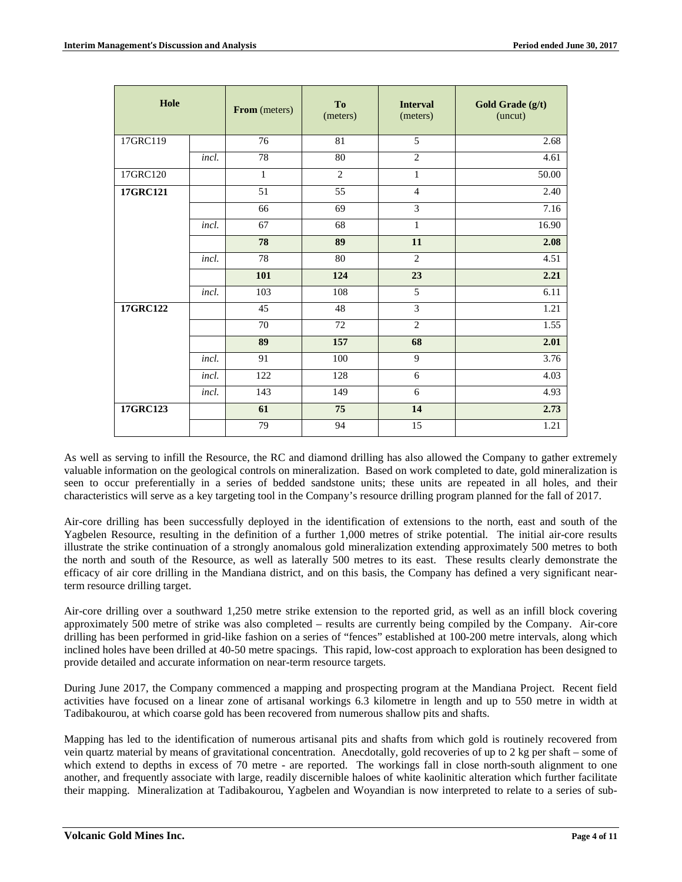| Hole     |       | From (meters) | <b>To</b><br>(meters) | <b>Interval</b><br>(meters) | Gold Grade (g/t)<br>(uncut) |
|----------|-------|---------------|-----------------------|-----------------------------|-----------------------------|
| 17GRC119 |       | 76            | 81                    | 5                           | 2.68                        |
|          | incl. | 78            | 80                    | $\overline{2}$              | 4.61                        |
| 17GRC120 |       | $\mathbf{1}$  | $\overline{c}$        | $\mathbf{1}$                | 50.00                       |
| 17GRC121 |       | 51            | 55                    | $\overline{4}$              | 2.40                        |
|          |       | 66            | 69                    | 3                           | 7.16                        |
|          | incl. | 67            | 68                    | 1                           | 16.90                       |
|          |       | 78            | 89                    | 11                          | 2.08                        |
|          | incl. | 78            | 80                    | $\mathfrak{2}$              | 4.51                        |
|          |       | 101           | 124                   | 23                          | 2.21                        |
|          | incl. | 103           | 108                   | $\overline{5}$              | 6.11                        |
| 17GRC122 |       | 45            | 48                    | $\overline{3}$              | 1.21                        |
|          |       | 70            | 72                    | $\overline{2}$              | 1.55                        |
|          |       | 89            | 157                   | 68                          | 2.01                        |
|          | incl. | 91            | 100                   | 9                           | 3.76                        |
|          | incl. | 122           | 128                   | 6                           | 4.03                        |
|          | incl. | 143           | 149                   | 6                           | 4.93                        |
| 17GRC123 |       | 61            | 75                    | 14                          | 2.73                        |
|          |       | 79            | 94                    | 15                          | 1.21                        |

As well as serving to infill the Resource, the RC and diamond drilling has also allowed the Company to gather extremely valuable information on the geological controls on mineralization. Based on work completed to date, gold mineralization is seen to occur preferentially in a series of bedded sandstone units; these units are repeated in all holes, and their characteristics will serve as a key targeting tool in the Company's resource drilling program planned for the fall of 2017.

Air-core drilling has been successfully deployed in the identification of extensions to the north, east and south of the Yagbelen Resource, resulting in the definition of a further 1,000 metres of strike potential. The initial air-core results illustrate the strike continuation of a strongly anomalous gold mineralization extending approximately 500 metres to both the north and south of the Resource, as well as laterally 500 metres to its east. These results clearly demonstrate the efficacy of air core drilling in the Mandiana district, and on this basis, the Company has defined a very significant nearterm resource drilling target.

Air-core drilling over a southward 1,250 metre strike extension to the reported grid, as well as an infill block covering approximately 500 metre of strike was also completed – results are currently being compiled by the Company. Air-core drilling has been performed in grid-like fashion on a series of "fences" established at 100-200 metre intervals, along which inclined holes have been drilled at 40-50 metre spacings. This rapid, low-cost approach to exploration has been designed to provide detailed and accurate information on near-term resource targets.

During June 2017, the Company commenced a mapping and prospecting program at the Mandiana Project. Recent field activities have focused on a linear zone of artisanal workings 6.3 kilometre in length and up to 550 metre in width at Tadibakourou, at which coarse gold has been recovered from numerous shallow pits and shafts.

Mapping has led to the identification of numerous artisanal pits and shafts from which gold is routinely recovered from vein quartz material by means of gravitational concentration. Anecdotally, gold recoveries of up to 2 kg per shaft – some of which extend to depths in excess of 70 metre - are reported. The workings fall in close north-south alignment to one another, and frequently associate with large, readily discernible haloes of white kaolinitic alteration which further facilitate their mapping. Mineralization at Tadibakourou, Yagbelen and Woyandian is now interpreted to relate to a series of sub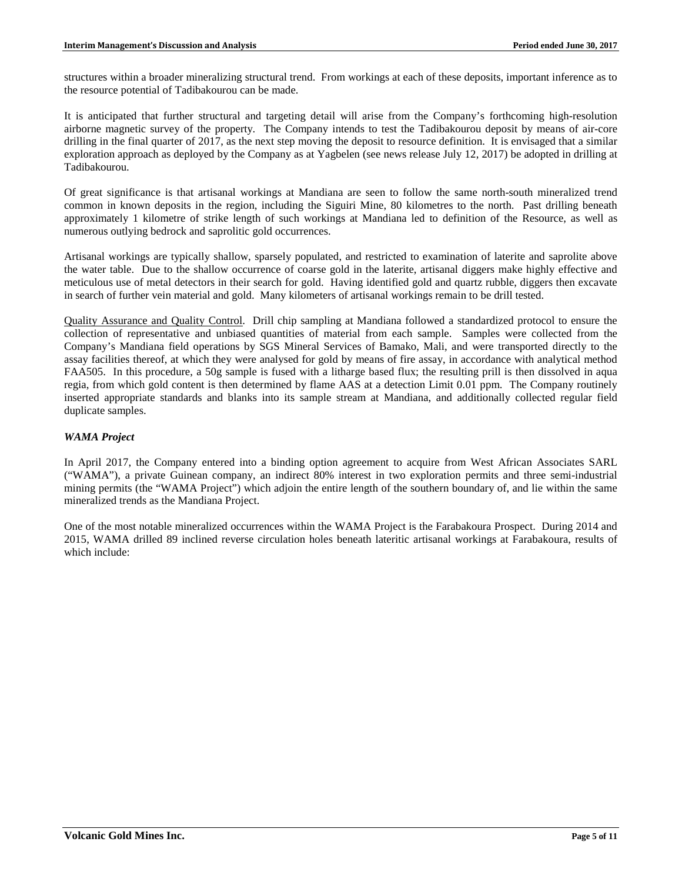structures within a broader mineralizing structural trend. From workings at each of these deposits, important inference as to the resource potential of Tadibakourou can be made.

It is anticipated that further structural and targeting detail will arise from the Company's forthcoming high-resolution airborne magnetic survey of the property. The Company intends to test the Tadibakourou deposit by means of air-core drilling in the final quarter of 2017, as the next step moving the deposit to resource definition. It is envisaged that a similar exploration approach as deployed by the Company as at Yagbelen (see news release July 12, 2017) be adopted in drilling at Tadibakourou.

Of great significance is that artisanal workings at Mandiana are seen to follow the same north-south mineralized trend common in known deposits in the region, including the Siguiri Mine, 80 kilometres to the north. Past drilling beneath approximately 1 kilometre of strike length of such workings at Mandiana led to definition of the Resource, as well as numerous outlying bedrock and saprolitic gold occurrences.

Artisanal workings are typically shallow, sparsely populated, and restricted to examination of laterite and saprolite above the water table. Due to the shallow occurrence of coarse gold in the laterite, artisanal diggers make highly effective and meticulous use of metal detectors in their search for gold. Having identified gold and quartz rubble, diggers then excavate in search of further vein material and gold. Many kilometers of artisanal workings remain to be drill tested.

Quality Assurance and Quality Control. Drill chip sampling at Mandiana followed a standardized protocol to ensure the collection of representative and unbiased quantities of material from each sample. Samples were collected from the Company's Mandiana field operations by SGS Mineral Services of Bamako, Mali, and were transported directly to the assay facilities thereof, at which they were analysed for gold by means of fire assay, in accordance with analytical method FAA505. In this procedure, a 50g sample is fused with a litharge based flux; the resulting prill is then dissolved in aqua regia, from which gold content is then determined by flame AAS at a detection Limit 0.01 ppm. The Company routinely inserted appropriate standards and blanks into its sample stream at Mandiana, and additionally collected regular field duplicate samples.

# *WAMA Project*

In April 2017, the Company entered into a binding option agreement to acquire from West African Associates SARL ("WAMA"), a private Guinean company, an indirect 80% interest in two exploration permits and three semi-industrial mining permits (the "WAMA Project") which adjoin the entire length of the southern boundary of, and lie within the same mineralized trends as the Mandiana Project.

One of the most notable mineralized occurrences within the WAMA Project is the Farabakoura Prospect. During 2014 and 2015, WAMA drilled 89 inclined reverse circulation holes beneath lateritic artisanal workings at Farabakoura, results of which include: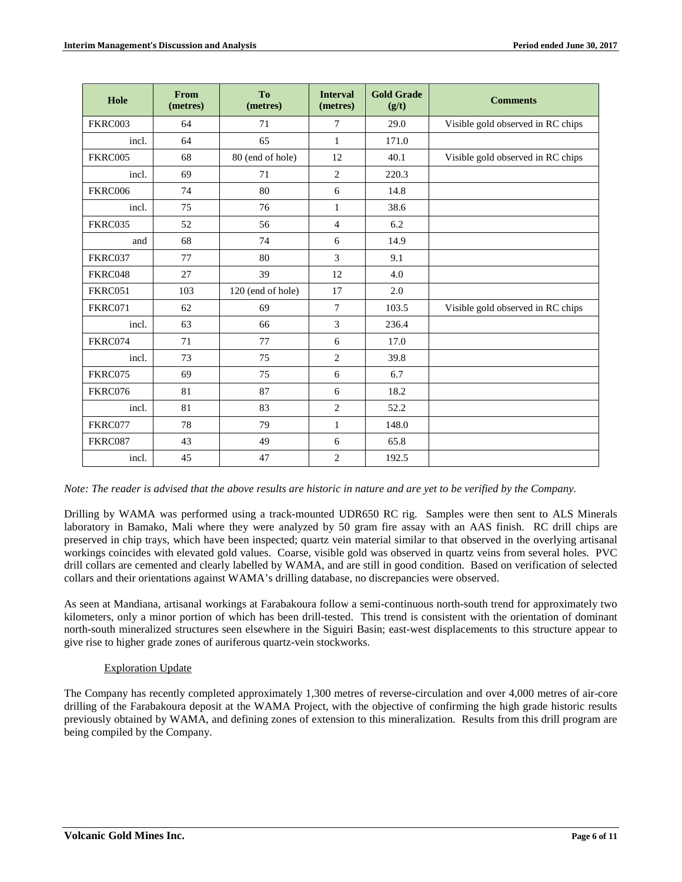| Hole    | From<br>(metres) | To<br>(metres)    | <b>Interval</b><br>(metres) | <b>Gold Grade</b><br>(g/t) | <b>Comments</b>                   |
|---------|------------------|-------------------|-----------------------------|----------------------------|-----------------------------------|
| FKRC003 | 64               | 71                | $\tau$                      | 29.0                       | Visible gold observed in RC chips |
| incl.   | 64               | 65                | $\mathbf{1}$                | 171.0                      |                                   |
| FKRC005 | 68               | 80 (end of hole)  | 12                          | 40.1                       | Visible gold observed in RC chips |
| incl.   | 69               | 71                | $\overline{2}$              | 220.3                      |                                   |
| FKRC006 | 74               | 80                | 6                           | 14.8                       |                                   |
| incl.   | 75               | 76                | $\mathbf{1}$                | 38.6                       |                                   |
| FKRC035 | 52               | 56                | $\overline{4}$              | 6.2                        |                                   |
| and     | 68               | 74                | 6                           | 14.9                       |                                   |
| FKRC037 | 77               | 80                | $\overline{3}$              | 9.1                        |                                   |
| FKRC048 | 27               | 39                | 12                          | 4.0                        |                                   |
| FKRC051 | 103              | 120 (end of hole) | 17                          | 2.0                        |                                   |
| FKRC071 | 62               | 69                | $\tau$                      | 103.5                      | Visible gold observed in RC chips |
| incl.   | 63               | 66                | 3                           | 236.4                      |                                   |
| FKRC074 | 71               | 77                | 6                           | 17.0                       |                                   |
| incl.   | 73               | 75                | $\overline{2}$              | 39.8                       |                                   |
| FKRC075 | 69               | 75                | 6                           | 6.7                        |                                   |
| FKRC076 | 81               | 87                | 6                           | 18.2                       |                                   |
| incl.   | 81               | 83                | $\overline{2}$              | 52.2                       |                                   |
| FKRC077 | 78               | 79                | 1                           | 148.0                      |                                   |
| FKRC087 | 43               | 49                | $\sqrt{6}$                  | 65.8                       |                                   |
| incl.   | 45               | 47                | $\mathfrak{2}$              | 192.5                      |                                   |

*Note: The reader is advised that the above results are historic in nature and are yet to be verified by the Company.*

Drilling by WAMA was performed using a track-mounted UDR650 RC rig. Samples were then sent to ALS Minerals laboratory in Bamako, Mali where they were analyzed by 50 gram fire assay with an AAS finish. RC drill chips are preserved in chip trays, which have been inspected; quartz vein material similar to that observed in the overlying artisanal workings coincides with elevated gold values. Coarse, visible gold was observed in quartz veins from several holes. PVC drill collars are cemented and clearly labelled by WAMA, and are still in good condition. Based on verification of selected collars and their orientations against WAMA's drilling database, no discrepancies were observed.

As seen at Mandiana, artisanal workings at Farabakoura follow a semi-continuous north-south trend for approximately two kilometers, only a minor portion of which has been drill-tested. This trend is consistent with the orientation of dominant north-south mineralized structures seen elsewhere in the Siguiri Basin; east-west displacements to this structure appear to give rise to higher grade zones of auriferous quartz-vein stockworks.

## Exploration Update

The Company has recently completed approximately 1,300 metres of reverse-circulation and over 4,000 metres of air-core drilling of the Farabakoura deposit at the WAMA Project, with the objective of confirming the high grade historic results previously obtained by WAMA, and defining zones of extension to this mineralization. Results from this drill program are being compiled by the Company.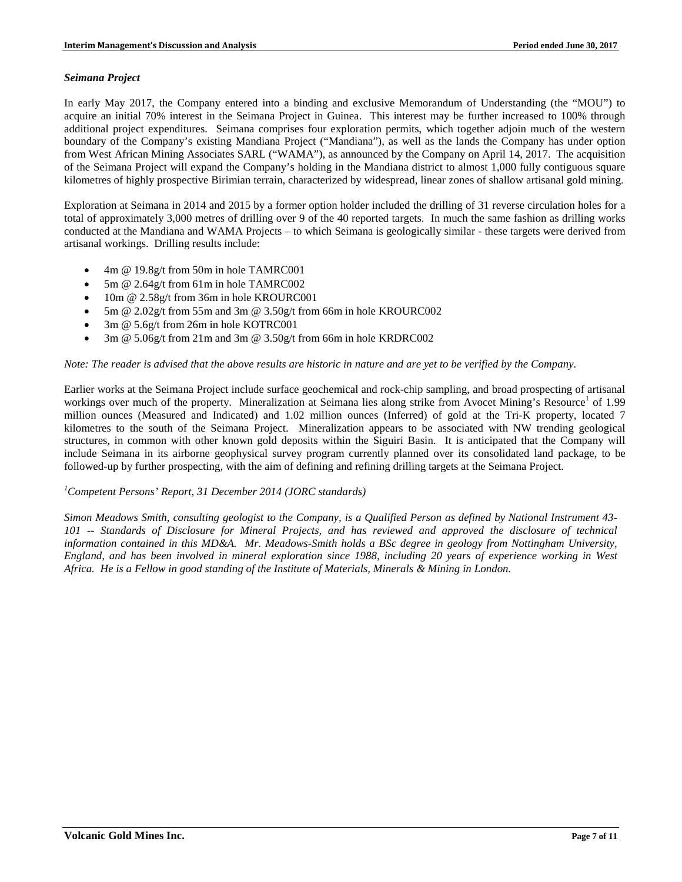### *Seimana Project*

In early May 2017, the Company entered into a binding and exclusive Memorandum of Understanding (the "MOU") to acquire an initial 70% interest in the Seimana Project in Guinea. This interest may be further increased to 100% through additional project expenditures. Seimana comprises four exploration permits, which together adjoin much of the western boundary of the Company's existing Mandiana Project ("Mandiana"), as well as the lands the Company has under option from West African Mining Associates SARL ("WAMA"), as announced by the Company on April 14, 2017. The acquisition of the Seimana Project will expand the Company's holding in the Mandiana district to almost 1,000 fully contiguous square kilometres of highly prospective Birimian terrain, characterized by widespread, linear zones of shallow artisanal gold mining.

Exploration at Seimana in 2014 and 2015 by a former option holder included the drilling of 31 reverse circulation holes for a total of approximately 3,000 metres of drilling over 9 of the 40 reported targets. In much the same fashion as drilling works conducted at the Mandiana and WAMA Projects – to which Seimana is geologically similar - these targets were derived from artisanal workings. Drilling results include:

- 4m @ 19.8g/t from 50m in hole TAMRC001
- 5m @ 2.64g/t from 61m in hole TAMRC002
- 10m @ 2.58g/t from 36m in hole KROURC001
- 5m @ 2.02g/t from 55m and 3m @ 3.50g/t from 66m in hole KROURC002
- 3m @ 5.6g/t from 26m in hole KOTRC001
- 3m @ 5.06g/t from 21m and 3m @ 3.50g/t from 66m in hole KRDRC002

### *Note: The reader is advised that the above results are historic in nature and are yet to be verified by the Company.*

Earlier works at the Seimana Project include surface geochemical and rock-chip sampling, and broad prospecting of artisanal workings over much of the property. Mineralization at Seimana lies along strike from Avocet Mining's Resource<sup>1</sup> of 1.99 million ounces (Measured and Indicated) and 1.02 million ounces (Inferred) of gold at the Tri-K property, located 7 kilometres to the south of the Seimana Project. Mineralization appears to be associated with NW trending geological structures, in common with other known gold deposits within the Siguiri Basin. It is anticipated that the Company will include Seimana in its airborne geophysical survey program currently planned over its consolidated land package, to be followed-up by further prospecting, with the aim of defining and refining drilling targets at the Seimana Project.

# *1 Competent Persons' Report, 31 December 2014 (JORC standards)*

*Simon Meadows Smith, consulting geologist to the Company, is a Qualified Person as defined by National Instrument 43- 101 -- Standards of Disclosure for Mineral Projects, and has reviewed and approved the disclosure of technical information contained in this MD&A. Mr. Meadows-Smith holds a BSc degree in geology from Nottingham University, England, and has been involved in mineral exploration since 1988, including 20 years of experience working in West Africa. He is a Fellow in good standing of the Institute of Materials, Minerals & Mining in London.*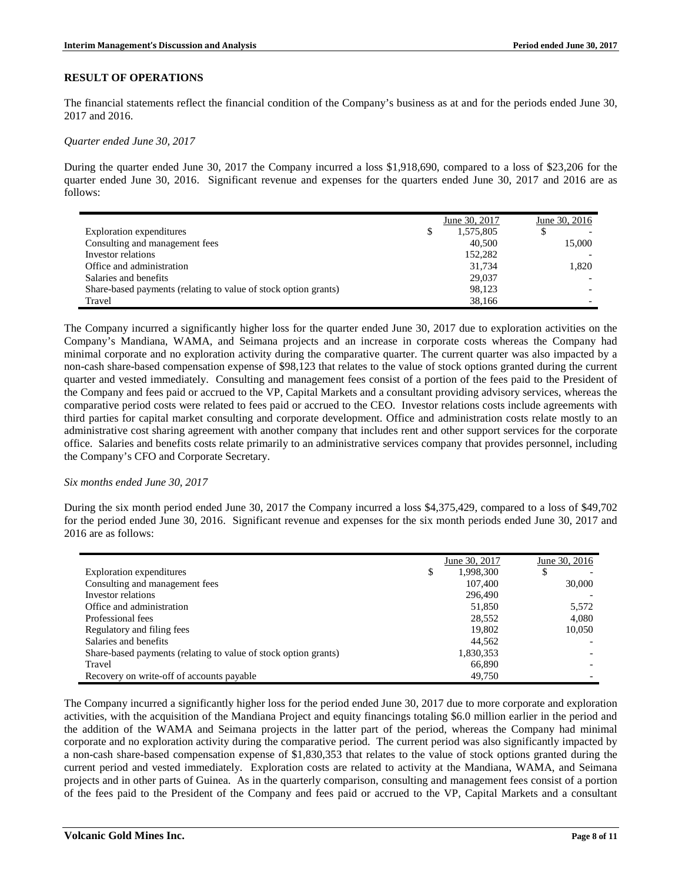### **RESULT OF OPERATIONS**

The financial statements reflect the financial condition of the Company's business as at and for the periods ended June 30, 2017 and 2016.

*Quarter ended June 30, 2017*

During the quarter ended June 30, 2017 the Company incurred a loss \$1,918,690, compared to a loss of \$23,206 for the quarter ended June 30, 2016. Significant revenue and expenses for the quarters ended June 30, 2017 and 2016 are as follows:

|                                                                 | June 30, 2017   | June 30, 2016 |
|-----------------------------------------------------------------|-----------------|---------------|
| Exploration expenditures                                        | \$<br>1,575,805 |               |
| Consulting and management fees                                  | 40,500          | 15,000        |
| Investor relations                                              | 152,282         |               |
| Office and administration                                       | 31.734          | 1.820         |
| Salaries and benefits                                           | 29,037          |               |
| Share-based payments (relating to value of stock option grants) | 98.123          |               |
| Travel                                                          | 38,166          |               |

The Company incurred a significantly higher loss for the quarter ended June 30, 2017 due to exploration activities on the Company's Mandiana, WAMA, and Seimana projects and an increase in corporate costs whereas the Company had minimal corporate and no exploration activity during the comparative quarter. The current quarter was also impacted by a non-cash share-based compensation expense of \$98,123 that relates to the value of stock options granted during the current quarter and vested immediately. Consulting and management fees consist of a portion of the fees paid to the President of the Company and fees paid or accrued to the VP, Capital Markets and a consultant providing advisory services, whereas the comparative period costs were related to fees paid or accrued to the CEO. Investor relations costs include agreements with third parties for capital market consulting and corporate development. Office and administration costs relate mostly to an administrative cost sharing agreement with another company that includes rent and other support services for the corporate office. Salaries and benefits costs relate primarily to an administrative services company that provides personnel, including the Company's CFO and Corporate Secretary.

#### *Six months ended June 30, 2017*

During the six month period ended June 30, 2017 the Company incurred a loss \$4,375,429, compared to a loss of \$49,702 for the period ended June 30, 2016. Significant revenue and expenses for the six month periods ended June 30, 2017 and 2016 are as follows:

|                                                                 | June 30, 2017   | June 30, 2016 |
|-----------------------------------------------------------------|-----------------|---------------|
| Exploration expenditures                                        | \$<br>1,998,300 | D             |
| Consulting and management fees                                  | 107.400         | 30,000        |
| Investor relations                                              | 296,490         |               |
| Office and administration                                       | 51,850          | 5,572         |
| Professional fees                                               | 28,552          | 4,080         |
| Regulatory and filing fees                                      | 19,802          | 10,050        |
| Salaries and benefits                                           | 44.562          |               |
| Share-based payments (relating to value of stock option grants) | 1,830,353       |               |
| Travel                                                          | 66,890          |               |
| Recovery on write-off of accounts payable                       | 49.750          |               |

The Company incurred a significantly higher loss for the period ended June 30, 2017 due to more corporate and exploration activities, with the acquisition of the Mandiana Project and equity financings totaling \$6.0 million earlier in the period and the addition of the WAMA and Seimana projects in the latter part of the period, whereas the Company had minimal corporate and no exploration activity during the comparative period. The current period was also significantly impacted by a non-cash share-based compensation expense of \$1,830,353 that relates to the value of stock options granted during the current period and vested immediately. Exploration costs are related to activity at the Mandiana, WAMA, and Seimana projects and in other parts of Guinea. As in the quarterly comparison, consulting and management fees consist of a portion of the fees paid to the President of the Company and fees paid or accrued to the VP, Capital Markets and a consultant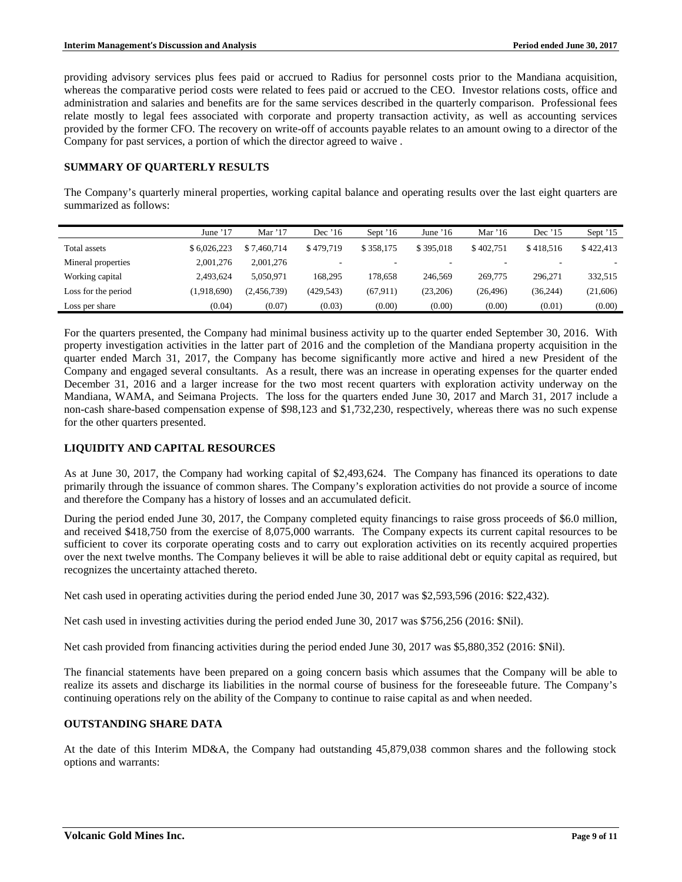providing advisory services plus fees paid or accrued to Radius for personnel costs prior to the Mandiana acquisition, whereas the comparative period costs were related to fees paid or accrued to the CEO. Investor relations costs, office and administration and salaries and benefits are for the same services described in the quarterly comparison. Professional fees relate mostly to legal fees associated with corporate and property transaction activity, as well as accounting services provided by the former CFO. The recovery on write-off of accounts payable relates to an amount owing to a director of the Company for past services, a portion of which the director agreed to waive .

## **SUMMARY OF QUARTERLY RESULTS**

The Company's quarterly mineral properties, working capital balance and operating results over the last eight quarters are summarized as follows:

|                     | June $17$   | Mar $'17$   | Dec $16$   | Sept $16$ | June $16$ | Mar '16   | Dec $'15$ | Sept $15$ |
|---------------------|-------------|-------------|------------|-----------|-----------|-----------|-----------|-----------|
| Total assets        | \$6,026,223 | \$7.460,714 | \$479.719  | \$358.175 | \$395,018 | \$402.751 | \$418.516 | \$422,413 |
| Mineral properties  | 2,001,276   | 2,001,276   |            | -         |           |           |           |           |
| Working capital     | 2.493.624   | 5.050.971   | 168.295    | 178.658   | 246.569   | 269,775   | 296.271   | 332,515   |
| Loss for the period | (1,918,690) | (2,456,739) | (429, 543) | (67.911)  | (23,206)  | (26, 496) | (36, 244) | (21,606)  |
| Loss per share      | (0.04)      | (0.07)      | (0.03)     | (0.00)    | (0.00)    | (0.00)    | (0.01)    | (0.00)    |

For the quarters presented, the Company had minimal business activity up to the quarter ended September 30, 2016. With property investigation activities in the latter part of 2016 and the completion of the Mandiana property acquisition in the quarter ended March 31, 2017, the Company has become significantly more active and hired a new President of the Company and engaged several consultants. As a result, there was an increase in operating expenses for the quarter ended December 31, 2016 and a larger increase for the two most recent quarters with exploration activity underway on the Mandiana, WAMA, and Seimana Projects. The loss for the quarters ended June 30, 2017 and March 31, 2017 include a non-cash share-based compensation expense of \$98,123 and \$1,732,230, respectively, whereas there was no such expense for the other quarters presented.

## **LIQUIDITY AND CAPITAL RESOURCES**

As at June 30, 2017, the Company had working capital of \$2,493,624. The Company has financed its operations to date primarily through the issuance of common shares. The Company's exploration activities do not provide a source of income and therefore the Company has a history of losses and an accumulated deficit.

During the period ended June 30, 2017, the Company completed equity financings to raise gross proceeds of \$6.0 million, and received \$418,750 from the exercise of 8,075,000 warrants. The Company expects its current capital resources to be sufficient to cover its corporate operating costs and to carry out exploration activities on its recently acquired properties over the next twelve months. The Company believes it will be able to raise additional debt or equity capital as required, but recognizes the uncertainty attached thereto.

Net cash used in operating activities during the period ended June 30, 2017 was \$2,593,596 (2016: \$22,432).

Net cash used in investing activities during the period ended June 30, 2017 was \$756,256 (2016: \$Nil).

Net cash provided from financing activities during the period ended June 30, 2017 was \$5,880,352 (2016: \$Nil).

The financial statements have been prepared on a going concern basis which assumes that the Company will be able to realize its assets and discharge its liabilities in the normal course of business for the foreseeable future. The Company's continuing operations rely on the ability of the Company to continue to raise capital as and when needed.

## **OUTSTANDING SHARE DATA**

At the date of this Interim MD&A, the Company had outstanding 45,879,038 common shares and the following stock options and warrants: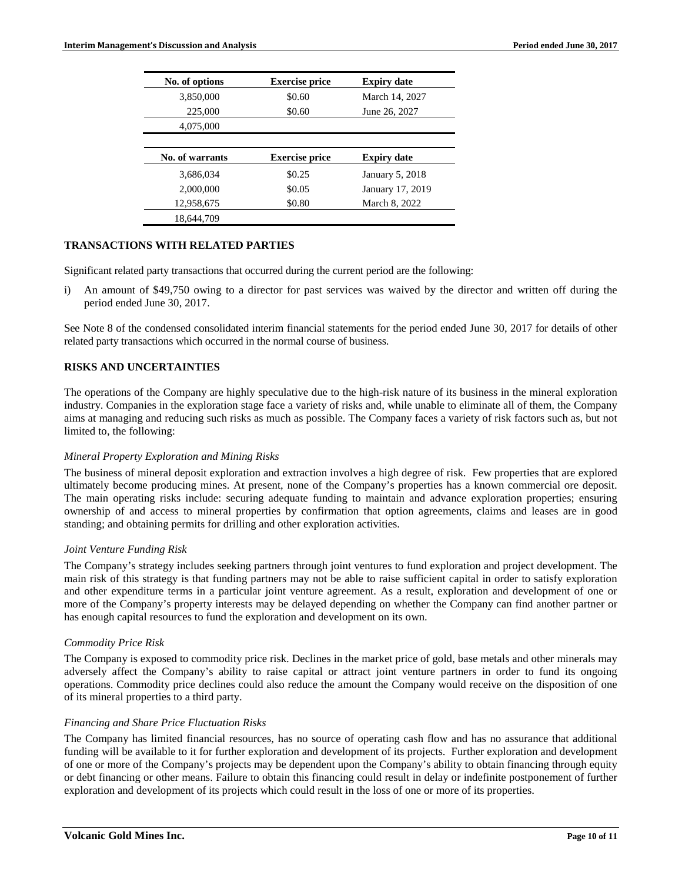| No. of options  | <b>Exercise price</b> | <b>Expiry date</b> |
|-----------------|-----------------------|--------------------|
| 3,850,000       | \$0.60                | March 14, 2027     |
| 225,000         | \$0.60                | June 26, 2027      |
| 4,075,000       |                       |                    |
|                 |                       |                    |
| No. of warrants | <b>Exercise price</b> | <b>Expiry date</b> |
| 3,686,034       | \$0.25                | January 5, 2018    |
| 2,000,000       | \$0.05                | January 17, 2019   |
| 12,958,675      | \$0.80                | March 8, 2022      |
|                 |                       |                    |

# **TRANSACTIONS WITH RELATED PARTIES**

Significant related party transactions that occurred during the current period are the following:

i) An amount of \$49,750 owing to a director for past services was waived by the director and written off during the period ended June 30, 2017.

See Note 8 of the condensed consolidated interim financial statements for the period ended June 30, 2017 for details of other related party transactions which occurred in the normal course of business.

## **RISKS AND UNCERTAINTIES**

The operations of the Company are highly speculative due to the high-risk nature of its business in the mineral exploration industry. Companies in the exploration stage face a variety of risks and, while unable to eliminate all of them, the Company aims at managing and reducing such risks as much as possible. The Company faces a variety of risk factors such as, but not limited to, the following:

#### *Mineral Property Exploration and Mining Risks*

The business of mineral deposit exploration and extraction involves a high degree of risk. Few properties that are explored ultimately become producing mines. At present, none of the Company's properties has a known commercial ore deposit. The main operating risks include: securing adequate funding to maintain and advance exploration properties; ensuring ownership of and access to mineral properties by confirmation that option agreements, claims and leases are in good standing; and obtaining permits for drilling and other exploration activities.

#### *Joint Venture Funding Risk*

The Company's strategy includes seeking partners through joint ventures to fund exploration and project development. The main risk of this strategy is that funding partners may not be able to raise sufficient capital in order to satisfy exploration and other expenditure terms in a particular joint venture agreement. As a result, exploration and development of one or more of the Company's property interests may be delayed depending on whether the Company can find another partner or has enough capital resources to fund the exploration and development on its own.

#### *Commodity Price Risk*

The Company is exposed to commodity price risk. Declines in the market price of gold, base metals and other minerals may adversely affect the Company's ability to raise capital or attract joint venture partners in order to fund its ongoing operations. Commodity price declines could also reduce the amount the Company would receive on the disposition of one of its mineral properties to a third party.

#### *Financing and Share Price Fluctuation Risks*

The Company has limited financial resources, has no source of operating cash flow and has no assurance that additional funding will be available to it for further exploration and development of its projects. Further exploration and development of one or more of the Company's projects may be dependent upon the Company's ability to obtain financing through equity or debt financing or other means. Failure to obtain this financing could result in delay or indefinite postponement of further exploration and development of its projects which could result in the loss of one or more of its properties.